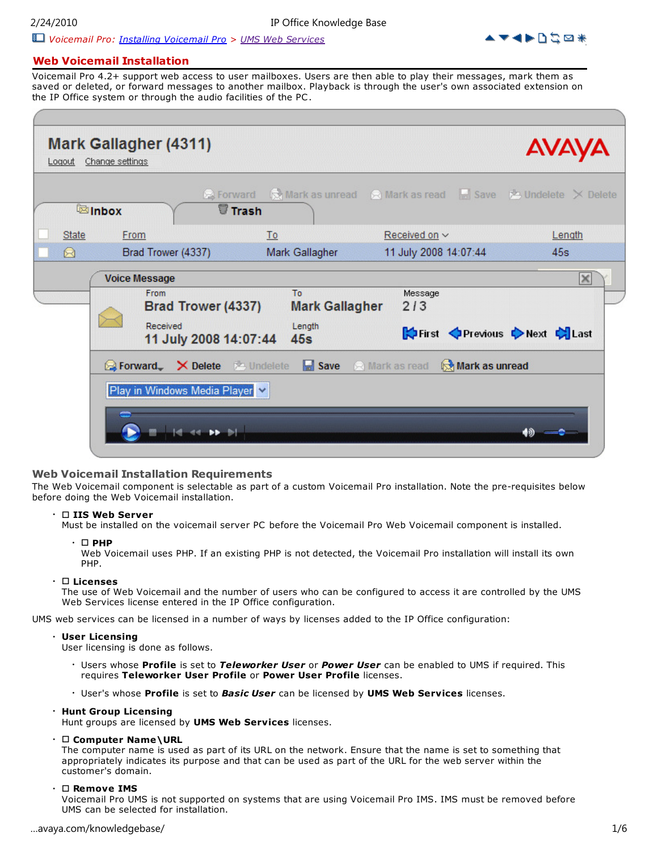2/24/2010 IP Office Knowledge Base





## **Web Voicemail Installation**

Voicemail Pro 4.2+ support web access to user mailboxes. Users are then able to play their messages, mark them as saved or deleted, or forward messages to another mailbox. Playback is through the user's own associated extension on the IP Office system or through the audio facilities of the PC .

| Mark as unread a Mark as read <b>Fig. Save &amp; Undelete</b> X Delete<br><b>P</b> Forward<br><b>Trash</b><br><b>External External</b><br>Received on $\vee$<br><b>State</b><br>From<br>To<br>Length<br>11 July 2008 14:07:44<br>Brad Trower (4337)<br>Mark Gallagher<br>45s<br>Q<br><b>Voice Message</b><br>To<br>Message<br>From<br>Brad Trower (4337)<br>2/3<br><b>Mark Gallagher</b> |  |  |  |   |
|------------------------------------------------------------------------------------------------------------------------------------------------------------------------------------------------------------------------------------------------------------------------------------------------------------------------------------------------------------------------------------------|--|--|--|---|
|                                                                                                                                                                                                                                                                                                                                                                                          |  |  |  |   |
|                                                                                                                                                                                                                                                                                                                                                                                          |  |  |  |   |
|                                                                                                                                                                                                                                                                                                                                                                                          |  |  |  |   |
| Received<br>Length<br>First Previous Next Clast<br>11 July 2008 14:07:44<br>45s                                                                                                                                                                                                                                                                                                          |  |  |  | × |

### **Web Voicemail Installation Requirements**

The Web Voicemail component is selectable as part of a custom Voicemail Pro installation. Note the pre-requisites below before doing the Web Voicemail installation.

## • **IIS Web Server**

Must be installed on the voicemail server PC before the Voicemail Pro Web Voicemail component is installed.

 $\cdot$   $\sqcap$  **PHP** 

Web Voicemail uses PHP. If an existing PHP is not detected, the Voicemail Pro installation will install its own PHP.

#### • **Licenses**

The use of Web Voicemail and the number of users who can be configured to access it are controlled by the UMS Web Services license entered in the IP Office configuration.

UMS web services can be licensed in a number of ways by licenses added to the IP Office configuration:

## • **User Licensing**

User licensing is done as follows.

- Users whose **Profile** is set to *Teleworker User* or *Power User* can be enabled to UMS if required. This requires **Teleworker User Profile** or **Power User Profile** licenses.
- User's whose **Profile** is set to *Basic User* can be licensed by **UMS Web Services** licenses.

#### • **Hunt Group Licensing**

Hunt groups are licensed by **UMS Web Services** licenses.

• **Computer Name\URL**

The computer name is used as part of its URL on the network. Ensure that the name is set to something that appropriately indicates its purpose and that can be used as part of the URL for the web server within the customer's domain.

#### • **Remove IMS**

Voicemail Pro UMS is not supported on systems that are using Voicemail Pro IMS. IMS must be removed before UMS can be selected for installation.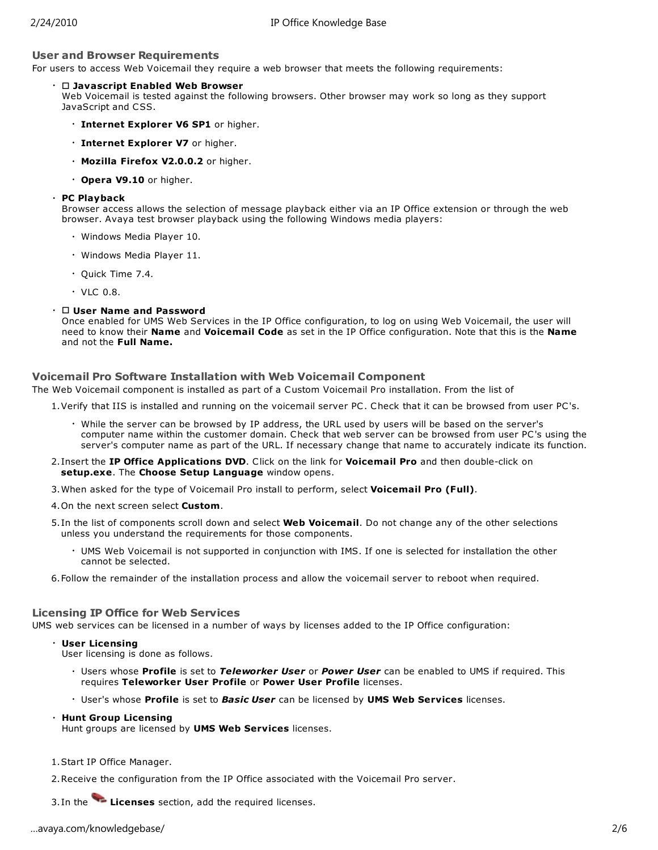## **User and Browser Requirements**

For users to access Web Voicemail they require a web browser that meets the following requirements:

#### • **Javascript Enabled Web Browser**

Web Voicemail is tested against the following browsers. Other browser may work so long as they support JavaScript and CSS.

- **Internet Explorer V6 SP1** or higher.
- **Internet Explorer V7** or higher.
- **Mozilla Firefox V2.0.0.2** or higher.
- **Opera V9.10** or higher.

#### • **PC Playback**

Browser access allows the selection of message playback either via an IP Office extension or through the web browser. Avaya test browser playback using the following Windows media players:

- Windows Media Player 10.
- Windows Media Player 11.
- Quick Time 7.4.
- $\cdot$  VLC 0.8.

#### • **User Name and Password**

Once enabled for UMS Web Services in the IP Office configuration, to log on using Web Voicemail, the user will need to know their **Name** and **Voicemail Code** as set in the IP Office configuration. Note that this is the **Name** and not the **Full Name.**

## **Voicemail Pro Software Installation with Web Voicemail Component**

The Web Voicemail component is installed as part of a Custom Voicemail Pro installation. From the list of

1.Verify that IIS is installed and running on the voicemail server PC . Check that it can be browsed from user PC's.

- While the server can be browsed by IP address, the URL used by users will be based on the server's computer name within the customer domain. Check that web server can be browsed from user PC's using the server's computer name as part of the URL. If necessary change that name to accurately indicate its function.
- 2.Insert the **IP Office Applications DVD**. Click on the link for **Voicemail Pro** and then double-click on **setup.exe**. The **Choose Setup Language** window opens.
- 3.When asked for the type of Voicemail Pro install to perform, select **Voicemail Pro (Full)**.
- 4.On the next screen select **Custom**.
- 5.In the list of components scroll down and select **Web Voicemail**. Do not change any of the other selections unless you understand the requirements for those components.
	- UMS Web Voicemail is not supported in conjunction with IMS. If one is selected for installation the other cannot be selected.
- 6.Follow the remainder of the installation process and allow the voicemail server to reboot when required.

## **Licensing IP Office for Web Services**

UMS web services can be licensed in a number of ways by licenses added to the IP Office configuration:

#### • **User Licensing**

User licensing is done as follows.

- Users whose **Profile** is set to *Teleworker User* or *Power User* can be enabled to UMS if required. This requires **Teleworker User Profile** or **Power User Profile** licenses.
- User's whose **Profile** is set to *Basic User* can be licensed by **UMS Web Services** licenses.

#### • **Hunt Group Licensing**

Hunt groups are licensed by **UMS Web Services** licenses.

1.Start IP Office Manager.

2.Receive the configuration from the IP Office associated with the Voicemail Pro server.

3.In the **Licenses** section, add the required licenses.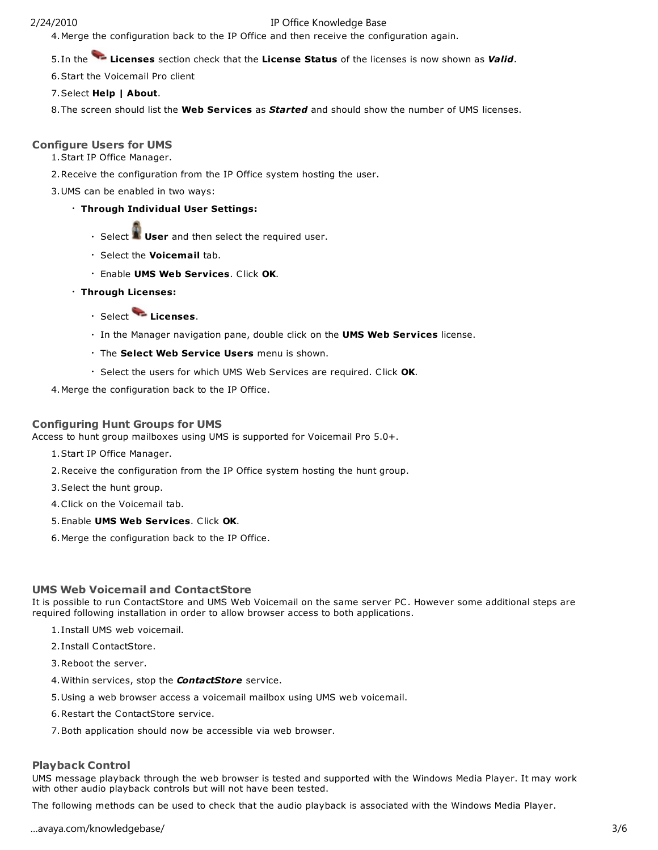## 2/24/2010 IP Office Knowledge Base

4.Merge the configuration back to the IP Office and then receive the configuration again.

5.In the **Licenses** section check that the **License Status** of the licenses is now shown as *Valid*.

6.Start the Voicemail Pro client

7.Select **Help | About**.

8.The screen should list the **Web Services** as *Started* and should show the number of UMS licenses.

## **Configure Users for UMS**

1.Start IP Office Manager.

2.Receive the configuration from the IP Office system hosting the user.

3.UMS can be enabled in two ways:

- **Through Individual User Settings:**
	- Select **User** and then select the required user.
	- Select the **Voicemail** tab.
	- Enable **UMS Web Services**. Click **OK**.
- **Through Licenses:**
	- Select **Licenses**.
	- In the Manager navigation pane, double click on the **UMS Web Services** license.
	- The **Select Web Service Users** menu is shown.
	- Select the users for which UMS Web Services are required. Click **OK**.

4.Merge the configuration back to the IP Office.

## **Configuring Hunt Groups for UMS**

Access to hunt group mailboxes using UMS is supported for Voicemail Pro 5.0+.

- 1.Start IP Office Manager.
- 2.Receive the configuration from the IP Office system hosting the hunt group.
- 3.Select the hunt group.
- 4.Click on the Voicemail tab.
- 5.Enable **UMS Web Services**. Click **OK**.
- 6.Merge the configuration back to the IP Office.

## **UMS Web Voicemail and ContactStore**

It is possible to run ContactStore and UMS Web Voicemail on the same server PC . However some additional steps are required following installation in order to allow browser access to both applications.

- 1.Install UMS web voicemail.
- 2.Install ContactStore.
- 3.Reboot the server.
- 4.Within services, stop the *ContactStore* service.
- 5.Using a web browser access a voicemail mailbox using UMS web voicemail.
- 6.Restart the ContactStore service.
- 7.Both application should now be accessible via web browser.

### **Playback Control**

UMS message playback through the web browser is tested and supported with the Windows Media Player. It may work with other audio playback controls but will not have been tested.

The following methods can be used to check that the audio playback is associated with the Windows Media Player.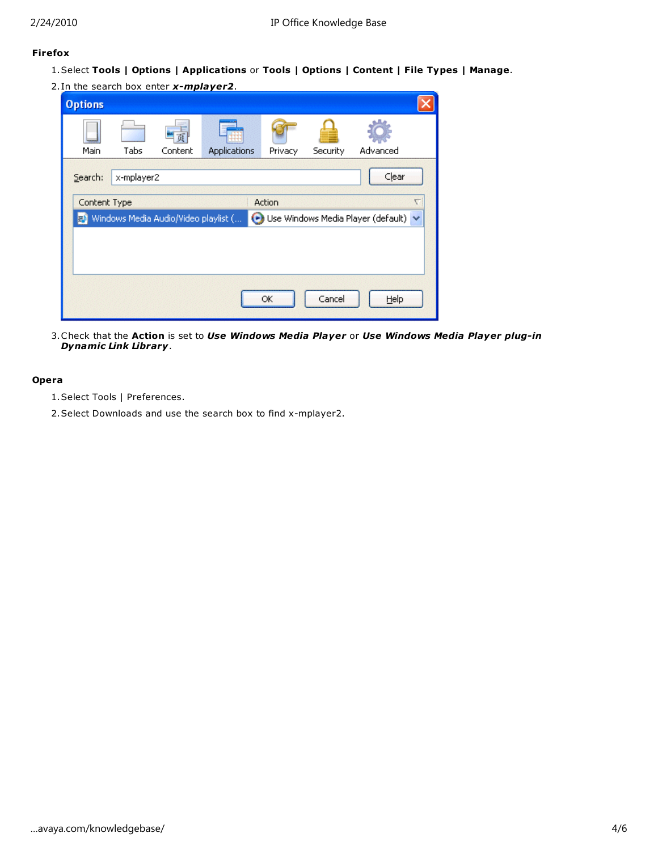# **Firefox**

- 1.Select **Tools | Options | Applications** or **Tools | Options | Content | File Types | Manage**.
- 2.In the search box enter *x-mplayer2*.

| <b>Options</b>     |            |                                      |                     |         |          |                                      |   |
|--------------------|------------|--------------------------------------|---------------------|---------|----------|--------------------------------------|---|
| Main               | Tabs       | Content                              | <b>Applications</b> | Privacy | Security | Advanced                             |   |
| Search:            | x-mplayer2 |                                      |                     |         |          | Clear                                |   |
| Content Type<br>FМ |            | Windows Media Audio/Video playlist ( |                     | Action  |          | Use Windows Media Player (default) v | ᡕ |
|                    |            |                                      |                     |         |          |                                      |   |
|                    |            |                                      |                     | OK      | Cancel   | Help                                 |   |

3.Check that the **Action** is set to *Use Windows Media Player* or *Use Windows Media Player plug-in Dynamic Link Library*.

## **Opera**

- 1.Select Tools | Preferences.
- 2.Select Downloads and use the search box to find x-mplayer2.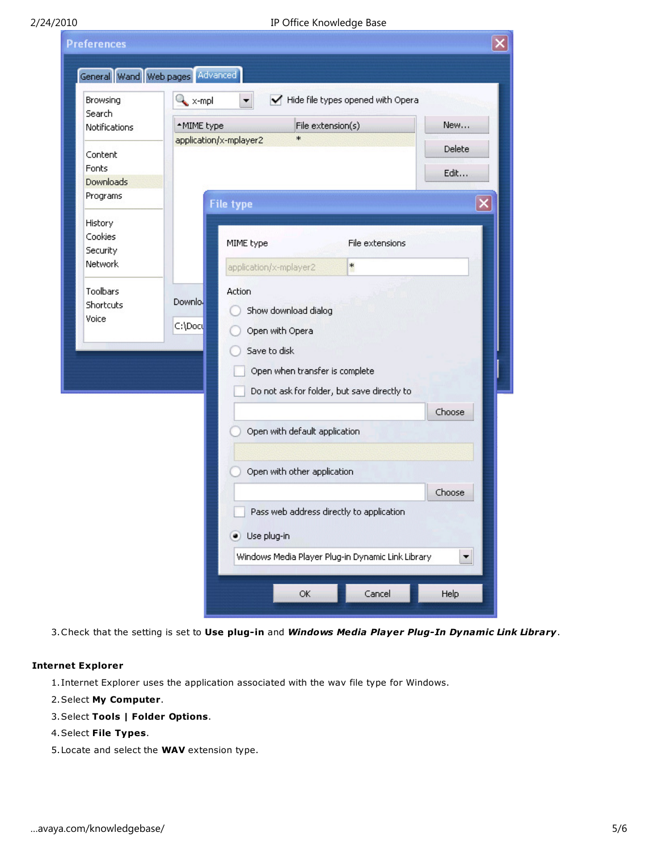| Browsing<br>Search                                                          | $\sim$ x-mpl                 |                                                                                                | Hide file types opened with Opera                      |        |
|-----------------------------------------------------------------------------|------------------------------|------------------------------------------------------------------------------------------------|--------------------------------------------------------|--------|
| Notifications                                                               | *MIME type                   |                                                                                                | File extension(s)                                      | New    |
| Content                                                                     | application/x-mplayer2       | $\ast$                                                                                         |                                                        | Delete |
| Fonts<br>Downloads                                                          |                              |                                                                                                |                                                        | Edit   |
| Programs                                                                    | <b>File type</b>             |                                                                                                |                                                        | ×      |
| History<br>Cookies<br>Security<br>Network<br>Toolbars<br>Shortcuts<br>Voice | Action<br>Downlo.<br>C:\Doc\ | MIME type<br>application/x-mplayer2<br>Show download dialog<br>Open with Opera<br>Save to disk | File extensions<br>*<br>Open when transfer is complete |        |
|                                                                             |                              |                                                                                                | Do not ask for folder, but save directly to            |        |
|                                                                             |                              |                                                                                                |                                                        | Choose |
|                                                                             |                              | Open with default application                                                                  |                                                        |        |
|                                                                             |                              | Open with other application                                                                    |                                                        |        |
|                                                                             |                              |                                                                                                |                                                        | Choose |
|                                                                             |                              |                                                                                                | Pass web address directly to application               |        |
|                                                                             | $\bullet$                    | Use plug-in                                                                                    |                                                        |        |

3.Check that the setting is set to **Use plug-in** and *Windows Media Player Plug-In Dynamic Link Library*.

## **Internet Explorer**

1.Internet Explorer uses the application associated with the wav file type for Windows.

## 2.Select **My Computer**.

# 3.Select **Tools | Folder Options**.

## 4.Select **File Types**.

5.Locate and select the **WAV** extension type.